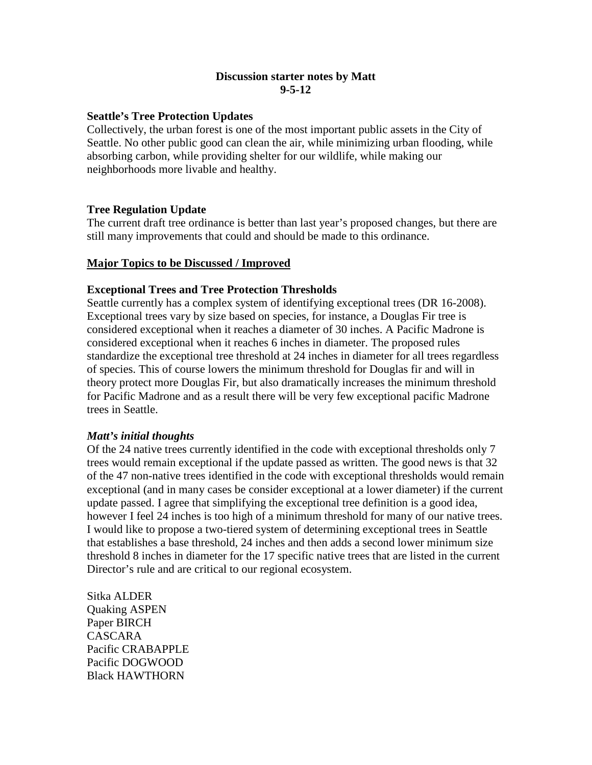## **Discussion starter notes by Matt 9-5-12**

## **Seattle's Tree Protection Updates**

Collectively, the urban forest is one of the most important public assets in the City of Seattle. No other public good can clean the air, while minimizing urban flooding, while absorbing carbon, while providing shelter for our wildlife, while making our neighborhoods more livable and healthy.

### **Tree Regulation Update**

The current draft tree ordinance is better than last year's proposed changes, but there are still many improvements that could and should be made to this ordinance.

### **Major Topics to be Discussed / Improved**

### **Exceptional Trees and Tree Protection Thresholds**

Seattle currently has a complex system of identifying exceptional trees (DR 16-2008). Exceptional trees vary by size based on species, for instance, a Douglas Fir tree is considered exceptional when it reaches a diameter of 30 inches. A Pacific Madrone is considered exceptional when it reaches 6 inches in diameter. The proposed rules standardize the exceptional tree threshold at 24 inches in diameter for all trees regardless of species. This of course lowers the minimum threshold for Douglas fir and will in theory protect more Douglas Fir, but also dramatically increases the minimum threshold for Pacific Madrone and as a result there will be very few exceptional pacific Madrone trees in Seattle.

#### *Matt's initial thoughts*

Of the 24 native trees currently identified in the code with exceptional thresholds only 7 trees would remain exceptional if the update passed as written. The good news is that 32 of the 47 non-native trees identified in the code with exceptional thresholds would remain exceptional (and in many cases be consider exceptional at a lower diameter) if the current update passed. I agree that simplifying the exceptional tree definition is a good idea, however I feel 24 inches is too high of a minimum threshold for many of our native trees. I would like to propose a two-tiered system of determining exceptional trees in Seattle that establishes a base threshold, 24 inches and then adds a second lower minimum size threshold 8 inches in diameter for the 17 specific native trees that are listed in the current Director's rule and are critical to our regional ecosystem.

Sitka ALDER Quaking ASPEN Paper BIRCH CASCARA Pacific CRABAPPLE Pacific DOGWOOD Black HAWTHORN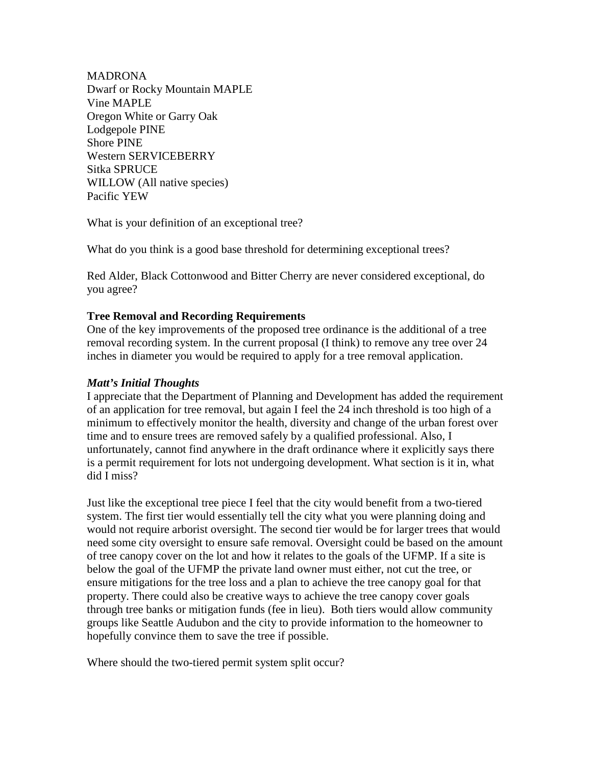MADRONA Dwarf or Rocky Mountain MAPLE Vine MAPLE Oregon White or Garry Oak Lodgepole PINE Shore PINE Western SERVICEBERRY Sitka SPRUCE WILLOW (All native species) Pacific YEW

What is your definition of an exceptional tree?

What do you think is a good base threshold for determining exceptional trees?

Red Alder, Black Cottonwood and Bitter Cherry are never considered exceptional, do you agree?

### **Tree Removal and Recording Requirements**

One of the key improvements of the proposed tree ordinance is the additional of a tree removal recording system. In the current proposal (I think) to remove any tree over 24 inches in diameter you would be required to apply for a tree removal application.

#### *Matt's Initial Thoughts*

I appreciate that the Department of Planning and Development has added the requirement of an application for tree removal, but again I feel the 24 inch threshold is too high of a minimum to effectively monitor the health, diversity and change of the urban forest over time and to ensure trees are removed safely by a qualified professional. Also, I unfortunately, cannot find anywhere in the draft ordinance where it explicitly says there is a permit requirement for lots not undergoing development. What section is it in, what did I miss?

Just like the exceptional tree piece I feel that the city would benefit from a two-tiered system. The first tier would essentially tell the city what you were planning doing and would not require arborist oversight. The second tier would be for larger trees that would need some city oversight to ensure safe removal. Oversight could be based on the amount of tree canopy cover on the lot and how it relates to the goals of the UFMP. If a site is below the goal of the UFMP the private land owner must either, not cut the tree, or ensure mitigations for the tree loss and a plan to achieve the tree canopy goal for that property. There could also be creative ways to achieve the tree canopy cover goals through tree banks or mitigation funds (fee in lieu). Both tiers would allow community groups like Seattle Audubon and the city to provide information to the homeowner to hopefully convince them to save the tree if possible.

Where should the two-tiered permit system split occur?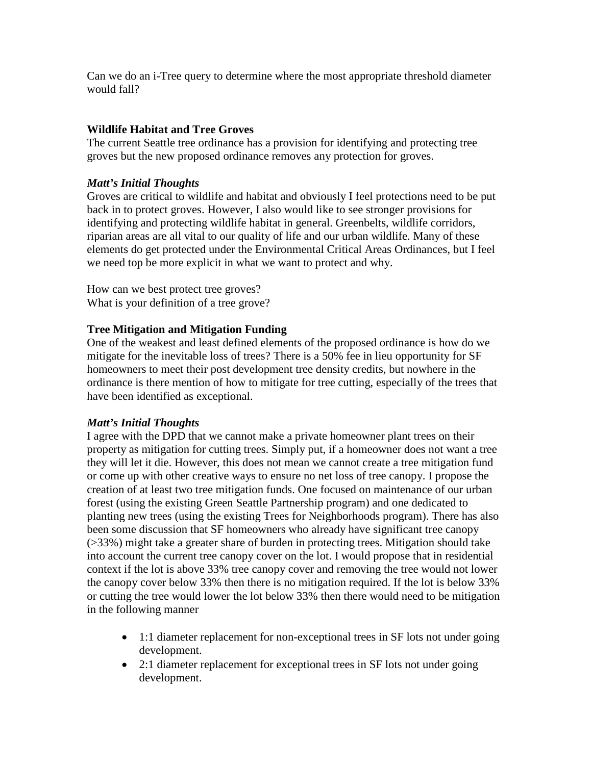Can we do an i-Tree query to determine where the most appropriate threshold diameter would fall?

## **Wildlife Habitat and Tree Groves**

The current Seattle tree ordinance has a provision for identifying and protecting tree groves but the new proposed ordinance removes any protection for groves.

## *Matt's Initial Thoughts*

Groves are critical to wildlife and habitat and obviously I feel protections need to be put back in to protect groves. However, I also would like to see stronger provisions for identifying and protecting wildlife habitat in general. Greenbelts, wildlife corridors, riparian areas are all vital to our quality of life and our urban wildlife. Many of these elements do get protected under the Environmental Critical Areas Ordinances, but I feel we need top be more explicit in what we want to protect and why.

How can we best protect tree groves? What is your definition of a tree grove?

## **Tree Mitigation and Mitigation Funding**

One of the weakest and least defined elements of the proposed ordinance is how do we mitigate for the inevitable loss of trees? There is a 50% fee in lieu opportunity for SF homeowners to meet their post development tree density credits, but nowhere in the ordinance is there mention of how to mitigate for tree cutting, especially of the trees that have been identified as exceptional.

# *Matt's Initial Thoughts*

I agree with the DPD that we cannot make a private homeowner plant trees on their property as mitigation for cutting trees. Simply put, if a homeowner does not want a tree they will let it die. However, this does not mean we cannot create a tree mitigation fund or come up with other creative ways to ensure no net loss of tree canopy. I propose the creation of at least two tree mitigation funds. One focused on maintenance of our urban forest (using the existing Green Seattle Partnership program) and one dedicated to planting new trees (using the existing Trees for Neighborhoods program). There has also been some discussion that SF homeowners who already have significant tree canopy (>33%) might take a greater share of burden in protecting trees. Mitigation should take into account the current tree canopy cover on the lot. I would propose that in residential context if the lot is above 33% tree canopy cover and removing the tree would not lower the canopy cover below 33% then there is no mitigation required. If the lot is below 33% or cutting the tree would lower the lot below 33% then there would need to be mitigation in the following manner

- 1:1 diameter replacement for non-exceptional trees in SF lots not under going development.
- 2:1 diameter replacement for exceptional trees in SF lots not under going development.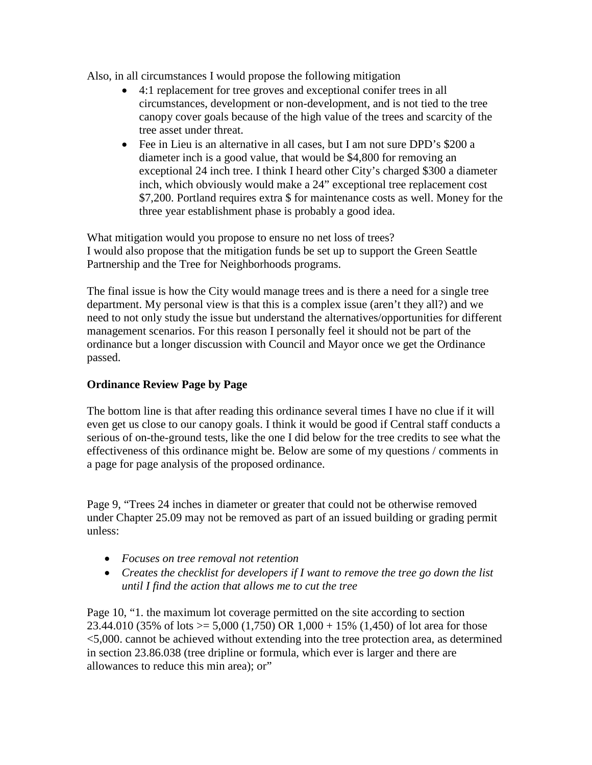Also, in all circumstances I would propose the following mitigation

- 4:1 replacement for tree groves and exceptional conifer trees in all circumstances, development or non-development, and is not tied to the tree canopy cover goals because of the high value of the trees and scarcity of the tree asset under threat.
- Fee in Lieu is an alternative in all cases, but I am not sure DPD's \$200 a diameter inch is a good value, that would be \$4,800 for removing an exceptional 24 inch tree. I think I heard other City's charged \$300 a diameter inch, which obviously would make a 24" exceptional tree replacement cost \$7,200. Portland requires extra \$ for maintenance costs as well. Money for the three year establishment phase is probably a good idea.

What mitigation would you propose to ensure no net loss of trees? I would also propose that the mitigation funds be set up to support the Green Seattle Partnership and the Tree for Neighborhoods programs.

The final issue is how the City would manage trees and is there a need for a single tree department. My personal view is that this is a complex issue (aren't they all?) and we need to not only study the issue but understand the alternatives/opportunities for different management scenarios. For this reason I personally feel it should not be part of the ordinance but a longer discussion with Council and Mayor once we get the Ordinance passed.

# **Ordinance Review Page by Page**

The bottom line is that after reading this ordinance several times I have no clue if it will even get us close to our canopy goals. I think it would be good if Central staff conducts a serious of on-the-ground tests, like the one I did below for the tree credits to see what the effectiveness of this ordinance might be. Below are some of my questions / comments in a page for page analysis of the proposed ordinance.

Page 9, "Trees 24 inches in diameter or greater that could not be otherwise removed under Chapter 25.09 may not be removed as part of an issued building or grading permit unless:

- *Focuses on tree removal not retention*
- *Creates the checklist for developers if I want to remove the tree go down the list until I find the action that allows me to cut the tree*

Page 10, "1. the maximum lot coverage permitted on the site according to section 23.44.010 (35% of lots  $> = 5,000$  (1,750) OR 1,000 + 15% (1,450) of lot area for those <5,000. cannot be achieved without extending into the tree protection area, as determined in section 23.86.038 (tree dripline or formula, which ever is larger and there are allowances to reduce this min area); or"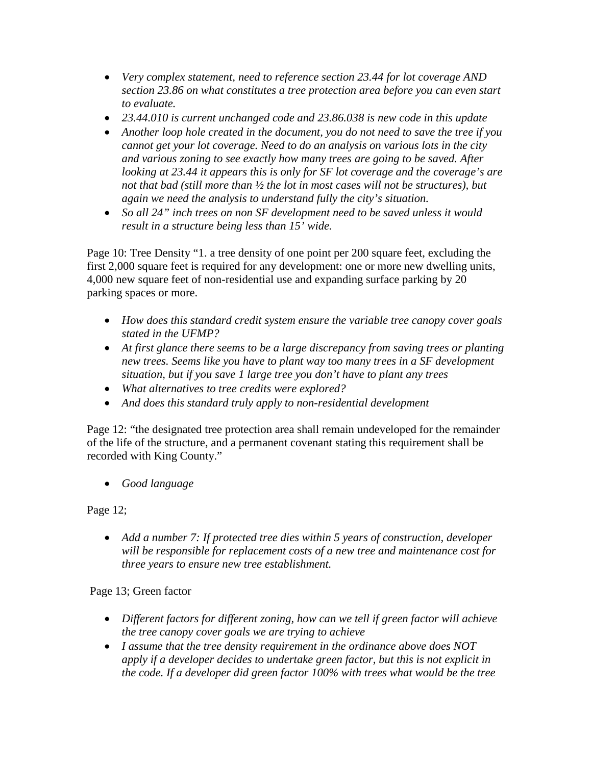- *Very complex statement, need to reference section 23.44 for lot coverage AND section 23.86 on what constitutes a tree protection area before you can even start to evaluate.*
- *23.44.010 is current unchanged code and 23.86.038 is new code in this update*
- *Another loop hole created in the document, you do not need to save the tree if you cannot get your lot coverage. Need to do an analysis on various lots in the city and various zoning to see exactly how many trees are going to be saved. After looking at 23.44 it appears this is only for SF lot coverage and the coverage's are not that bad (still more than ½ the lot in most cases will not be structures), but again we need the analysis to understand fully the city's situation.*
- *So all 24" inch trees on non SF development need to be saved unless it would result in a structure being less than 15' wide.*

Page 10: Tree Density "1. a tree density of one point per 200 square feet, excluding the first 2,000 square feet is required for any development: one or more new dwelling units, 4,000 new square feet of non-residential use and expanding surface parking by 20 parking spaces or more.

- *How does this standard credit system ensure the variable tree canopy cover goals stated in the UFMP?*
- At first glance there seems to be a large discrepancy from saving trees or planting *new trees. Seems like you have to plant way too many trees in a SF development situation, but if you save 1 large tree you don't have to plant any trees*
- *What alternatives to tree credits were explored?*
- *And does this standard truly apply to non-residential development*

Page 12: "the designated tree protection area shall remain undeveloped for the remainder of the life of the structure, and a permanent covenant stating this requirement shall be recorded with King County."

• *Good language*

Page 12;

• *Add a number 7: If protected tree dies within 5 years of construction, developer will be responsible for replacement costs of a new tree and maintenance cost for three years to ensure new tree establishment.* 

# Page 13; Green factor

- *Different factors for different zoning, how can we tell if green factor will achieve the tree canopy cover goals we are trying to achieve*
- *I assume that the tree density requirement in the ordinance above does NOT apply if a developer decides to undertake green factor, but this is not explicit in the code. If a developer did green factor 100% with trees what would be the tree*